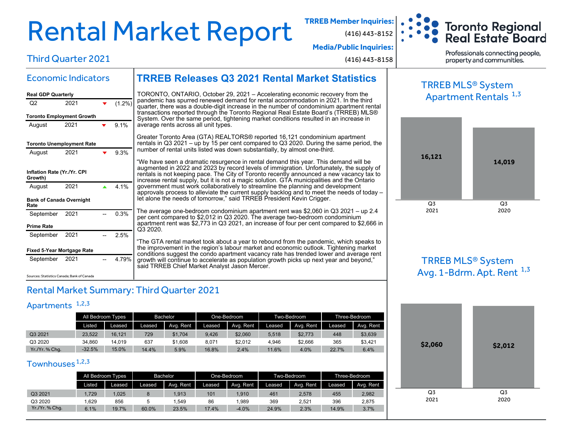# Rental Market Report **TRREB Member Inquiries:**

(416) 443-8152



**Media/Public Inquiries:**

(416) 443-8158

Professionals connecting people, property and communities.

# Third Quarter 2021

Economic Indicators

## **TRREB Releases Q3 2021 Rental Market Statistics**

| <b>Real GDP Quarterly</b>              |                                 |  |           |  |  |  |  |  |  |  |  |
|----------------------------------------|---------------------------------|--|-----------|--|--|--|--|--|--|--|--|
| O2                                     | 2021                            |  | $(1.2\%)$ |  |  |  |  |  |  |  |  |
| <b>Toronto Employment Growth</b>       |                                 |  |           |  |  |  |  |  |  |  |  |
| August                                 | 2021                            |  | 9.1%      |  |  |  |  |  |  |  |  |
| <b>Toronto Unemployment Rate</b>       |                                 |  |           |  |  |  |  |  |  |  |  |
| August                                 | 2021                            |  | 9.3%      |  |  |  |  |  |  |  |  |
| Inflation Rate (Yr./Yr. CPI<br>Growth) |                                 |  |           |  |  |  |  |  |  |  |  |
| August                                 | 2021                            |  | 4 1%      |  |  |  |  |  |  |  |  |
| Rate                                   | <b>Bank of Canada Overnight</b> |  |           |  |  |  |  |  |  |  |  |
| September                              | 2021                            |  | 0.3%      |  |  |  |  |  |  |  |  |
| <b>Prime Rate</b>                      |                                 |  |           |  |  |  |  |  |  |  |  |
| September                              |                                 |  | 2.5%      |  |  |  |  |  |  |  |  |
|                                        | 2021                            |  |           |  |  |  |  |  |  |  |  |
| <b>Fixed 5-Year Mortgage Rate</b>      |                                 |  |           |  |  |  |  |  |  |  |  |

#### TORONTO, ONTARIO, October 29, 2021 – Accelerating economic recovery from the pandemic has spurred renewed demand for rental accommodation in 2021. In the third quarter, there was a double-digit increase in the number of condominium apartment rental transactions reported through the Toronto Regional Real Estate Board's (TRREB) MLS® System. Over the same period, tightening market conditions resulted in an increase in average rents across all unit types.

Greater Toronto Area (GTA) REALTORS® reported 16,121 condominium apartment rentals in Q3 2021 – up by 15 per cent compared to Q3 2020. During the same period, the number of rental units listed was down substantially, by almost one-third.

"We have seen a dramatic resurgence in rental demand this year. This demand will be augmented in 2022 and 2023 by record levels of immigration. Unfortunately, the supply of rentals is not keeping pace. The City of Toronto recently announced a new vacancy tax to increase rental supply, but it is not a magic solution. GTA municipalities and the Ontario government must work collaboratively to streamline the planning and development approvals process to alleviate the current supply backlog and to meet the needs of today – let alone the needs of tomorrow," said TRREB President Kevin Crigger.

The average one-bedroom condominium apartment rent was \$2,060 in Q3 2021 – up 2.4 per cent compared to \$2,012 in Q3 2020. The average two-bedroom condominium apartment rent was \$2,773 in Q3 2021, an increase of four per cent compared to \$2,666 in Q3 2020.

"The GTA rental market took about a year to rebound from the pandemic, which speaks to the improvement in the region's labour market and economic outlook. Tightening market conditions suggest the condo apartment vacancy rate has trended lower and average rent growth will continue to accelerate as population growth picks up next year and beyond," said TRREB Chief Market Analyst Jason Mercer.

Sources: Statistics Canada; Bank of Canada

#### Rental Market Summary: Third Quarter 2021

#### Apartments<sup>1,2,3</sup>

|              | All Bedroom Types |        | Bachelor |           |        | One-Bedroom |        | Two-Bedroom | Three-Bedroom |           |
|--------------|-------------------|--------|----------|-----------|--------|-------------|--------|-------------|---------------|-----------|
|              | Listed.           | Leased | Leased   | Avg. Rent | Leased | Avg. Rent   | Leased | Avg. Rent   | Leased        | Avg. Rent |
| Q3 2021      | 23.522            | 16.121 | 729      | \$1.704   | 9.426  | \$2,060     | 5.518  | \$2,773     | 448           | \$3,639   |
| Q3 2020      | 34.860            | 14.019 | 637      | \$1,608   | 8.071  | \$2,012     | 4.946  | \$2,666     | 365           | \$3,421   |
| Yr./Yr.%Chq. | $-32.5%$          | 15.0%  | 14.4%    | 5.9%      | 16.8%  | 2.4%        | 11.6%  | 4.0%        | 22.7%         | 6.4%      |

#### Townhouses<sup>1,2,3</sup>

|              | All Bedroom Types |        | Bachelor |           |        | One-Bedroom |        | Two-Bedroom | Three-Bedroom |           |  |
|--------------|-------------------|--------|----------|-----------|--------|-------------|--------|-------------|---------------|-----------|--|
|              | Listed            | Leased | Leased   | Ava. Rent | Leased | Avg. Rent   | Leased | Avg. Rent   | Leased        | Avg. Rent |  |
| Q3 2021      | .729              | ,025   |          | 1.913     | 101    | .910        | 461    | 2.578       | 455           | 2,982     |  |
| Q3 2020      | .629              | 856    |          | .549      | 86     | .989        | 369    | 2.521       | 396           | 2,875     |  |
| Yr./Yr.%Chq. | 6.1%              | 19.7%  | 60.0%    | 23.5%     | 17.4%  | $-4.0%$     | 24.9%  | 2.3%        | 14.9%         | 3.7%      |  |

### TRREB MLS® System Apartment Rentals <sup>1,3</sup>



#### TRREB MLS® System Avg. 1-Bdrm. Apt. Rent  $^{1,3}$

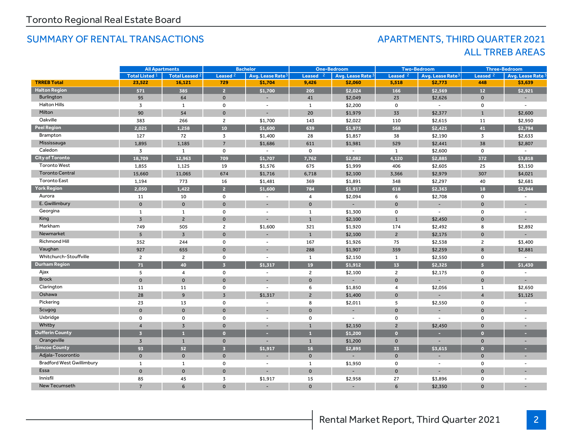#### SUMMARY OF RENTAL TRANSACTIONS APARTMENTS, THIRD QUARTER 2021

# ALL TRREB AREAS

|                                  | <b>All Apartments</b>     |                       |                         | <b>Bachelor</b>              |                | <b>One-Bedroom</b>       |                     | <b>Two-Bedroom</b>           |                     | <b>Three-Bedroom</b>         |
|----------------------------------|---------------------------|-----------------------|-------------------------|------------------------------|----------------|--------------------------|---------------------|------------------------------|---------------------|------------------------------|
|                                  | Total Listed <sup>1</sup> | <b>Total Leased 2</b> | Leased <sup>2</sup>     | Avg. Lease Rate <sup>3</sup> | Leased         | Avg. Lease Rate 3        | Leased <sub>2</sub> | Avg. Lease Rate <sup>3</sup> | Leased <sub>2</sub> | Avg. Lease Rate <sup>3</sup> |
| <b>TRREB Total</b>               | 23,522                    | 16,121                | 729                     | \$1,704                      | 9,426          | \$2,060                  | 5,518               | \$2,773                      | 448                 | \$3,639                      |
| <b>Halton Region</b>             | 571                       | 385                   | $\overline{2}$          | \$1,700                      | 205            | \$2,024                  | 166                 | \$2,569                      | 12                  | \$2,921                      |
| <b>Burlington</b>                | 95                        | 64                    | $\mathbf 0$             | $\overline{\phantom{a}}$     | 41             | \$2,049                  | 23                  | \$2,626                      | $\mathbf 0$         | $\sim$                       |
| <b>Halton Hills</b>              | 3                         | $\mathbf{1}$          | 0                       | $\overline{\phantom{a}}$     | 1              | \$2,200                  | 0                   | $\overline{\phantom{a}}$     | $\mathbf 0$         |                              |
| Milton                           | 90                        | 54                    | $\mathbf 0$             | $\overline{\phantom{a}}$     | 20             | \$1,979                  | 33                  | \$2,377                      | $\mathbf{1}$        | \$2,600                      |
| Oakville                         | 383                       | 266                   | $\overline{2}$          | \$1,700                      | 143            | \$2,022                  | 110                 | \$2,615                      | 11                  | \$2,950                      |
| <b>Peel Region</b>               | 2,025                     | 1,258                 | 10                      | \$1,600                      | 639            | \$1,975                  | 568                 | \$2,425                      | 41                  | \$2,794                      |
| Brampton                         | 127                       | 72                    | 3                       | \$1,400                      | 28             | \$1,857                  | 38                  | \$2,190                      | $\overline{3}$      | \$2,633                      |
| Mississauga                      | 1,895                     | 1,185                 | $\overline{7}$          | \$1,686                      | 611            | \$1,981                  | 529                 | \$2,441                      | 38                  | \$2,807                      |
| Caledon                          | $\overline{3}$            | $\mathbf{1}$          | $\mathbf 0$             |                              | $\mathbf 0$    | $\overline{\phantom{a}}$ | 1                   | \$2,600                      | $\mathbf 0$         |                              |
| <b>City of Toronto</b>           | 18,709                    | 12.963                | 709                     | \$1,707                      | 7,762          | \$2.082                  | 4.120               | \$2,885                      | 372                 | \$3,818                      |
| <b>Toronto West</b>              | 1,855                     | 1,125                 | 19                      | \$1,576                      | 675            | \$1,999                  | 406                 | \$2,605                      | 25                  | \$3,150                      |
| <b>Toronto Central</b>           | 15,660                    | 11,065                | 674                     | \$1,716                      | 6,718          | \$2,100                  | 3,366               | \$2,979                      | 307                 | \$4,021                      |
| <b>Toronto East</b>              | 1,194                     | 773                   | 16                      | \$1,481                      | 369            | \$1,891                  | 348                 | \$2,297                      | 40                  | \$2,681                      |
| <b>York Region</b>               | 2,050                     | 1,422                 | $\overline{2}$          | \$1,600                      | 784            | \$1,917                  | 618                 | \$2,363                      | 18                  | \$2,944                      |
| Aurora                           | 11                        | 10                    | $\mathbf 0$             | $\overline{\phantom{a}}$     | 4              | \$2,094                  | 6                   | \$2,708                      | $\mathbf 0$         | $\overline{\phantom{a}}$     |
| E. Gwillimbury                   | $\mathbf{O}$              | $\mathsf{O}$          | $\mathbf 0$             | $\overline{\phantom{a}}$     | $\mathbf 0$    | $\blacksquare$           | $\mathbf{0}$        |                              | $\mathbf{0}$        |                              |
| Georgina                         | 1                         | $\mathbf{1}$          | 0                       | $\overline{\phantom{a}}$     | $\mathbf{1}$   | \$1,300                  | 0                   | $\overline{\phantom{a}}$     | 0                   |                              |
| King                             | $\overline{3}$            | $\overline{2}$        | $\mathbf 0$             |                              | $\mathbf{1}$   | \$2,100                  | $\mathbf{1}$        | \$2,450                      | $\mathbf{0}$        |                              |
| Markham                          | 749                       | 505                   | $\overline{2}$          | \$1,600                      | 321            | \$1,920                  | 174                 | \$2,492                      | 8                   | \$2,892                      |
| Newmarket                        | 5 <sup>5</sup>            | $\overline{3}$        | $\mathbf 0$             |                              | $\mathbf{1}$   | \$2,100                  | $2^{\circ}$         | \$2,175                      | $\mathbf{0}$        |                              |
| Richmond Hill                    | 352                       | 244                   | $\mathbf 0$             | $\sim$                       | 167            | \$1,926                  | 75                  | \$2,538                      | $\overline{c}$      | \$3,400                      |
| Vaughan                          | 927                       | 655                   | $\mathbf{O}$            |                              | 288            | \$1,907                  | 359                 | \$2,259                      | 8                   | \$2,881                      |
| Whitchurch-Stouffville           | $\overline{2}$            | $\overline{2}$        | 0                       | $\sim$                       | 1              | \$2,150                  | $\mathbf{1}$        | \$2,550                      | 0                   | $\sim$                       |
| <b>Durham Region</b>             | 71                        | 40                    | $\overline{3}$          | \$1,317                      | 19             | \$1,912                  | 13 <sup>°</sup>     | \$2,325                      | 5                   | \$1,430                      |
| Ajax                             | 5                         | $\overline{4}$        | $\mathbf 0$             | $\sim$                       | $\mathbf{2}$   | \$2,100                  | $\mathbf{2}$        | \$2,175                      | $\mathsf{o}\,$      |                              |
| <b>Brock</b>                     | $\mathbf{0}$              | $\mathbf{0}$          | $\mathbf{O}$            |                              | $\mathbf 0$    |                          | $\mathbf{0}$        |                              | $\mathbf{0}$        |                              |
| Clarington                       | 11                        | 11                    | 0                       | $\sim$                       | 6              | \$1,850                  | 4                   | \$2,056                      | 1                   | \$2,650                      |
| Oshawa                           | 28                        | 9                     | $\overline{3}$          | \$1,317                      | $\overline{c}$ | \$1,400                  | $\mathbf 0$         |                              | $\overline{4}$      | \$1,125                      |
| Pickering                        | 23                        | 13                    | 0                       | $\overline{\phantom{a}}$     | 8              | \$2,011                  | 5                   | \$2,550                      | 0                   | $\overline{\phantom{a}}$     |
| Scugog                           | $\mathbf{O}$              | $\mathbf{0}$          | $\mathbf{O}$            |                              | $\mathbf 0$    |                          | $\mathbf 0$         |                              | $\mathbf{O}$        |                              |
| Uxbridge                         | 0                         | $\mathbf 0$           | $\Omega$                | $\sim$                       | $\mathbf 0$    | $\overline{\phantom{a}}$ | 0                   | $\blacksquare$               | 0                   | $\overline{a}$               |
| Whitby                           | $\Delta$                  | $\overline{3}$        | $\mathbf{O}$            |                              | $\mathbf{1}$   | \$2,150                  | $\overline{2}$      | \$2,450                      | $\Omega$            |                              |
| <b>Dufferin County</b>           | $\overline{3}$            | n.                    | $\bullet$               | н.                           | $\mathbf{I}$   | \$1,200                  | $\overline{0}$      | н.                           | $\bullet$           |                              |
| Orangeville                      | $\overline{3}$            | $\mathbf{1}$          | $\mathbf 0$             |                              | $\mathbf{1}$   | \$1,200                  | $\mathbf{0}$        |                              | $\mathbf{0}$        |                              |
| <b>Simcoe County</b>             | 93                        | 52                    | $\overline{\mathbf{3}}$ | \$1,917                      | 16             | \$2,895                  | 33                  | \$3,615                      | $\bullet$           | н                            |
| Adjala-Tosorontio                | $\mathbf{0}$              | $\mathbf 0$           | $\mathbf 0$             |                              | $\mathbf 0$    |                          | $\mathbf 0$         |                              | $\mathbf 0$         |                              |
| <b>Bradford West Gwillimbury</b> | $\mathbf{1}$              | $\mathbf{1}$          | 0                       | $\overline{\phantom{a}}$     | $\mathbf{1}$   | \$1,950                  | 0                   | $\overline{\phantom{a}}$     | 0                   | $\overline{\phantom{a}}$     |
| Essa                             | $\mathsf{o}$              | $\mathbf 0$           | $\mathbf 0$             |                              | $\mathbf 0$    |                          | $\mathbf 0$         |                              | $\mathbf 0$         |                              |
| Innisfil                         | 85                        | 45                    | 3                       | \$1,917                      | 15             | \$2,958                  | 27                  | \$3,896                      | 0                   | $\overline{\phantom{a}}$     |
| <b>New Tecumseth</b>             | $\overline{7}$            | 6                     | $\Omega$                |                              | $\mathbf 0$    |                          | 6                   | \$2,350                      | $\Omega$            |                              |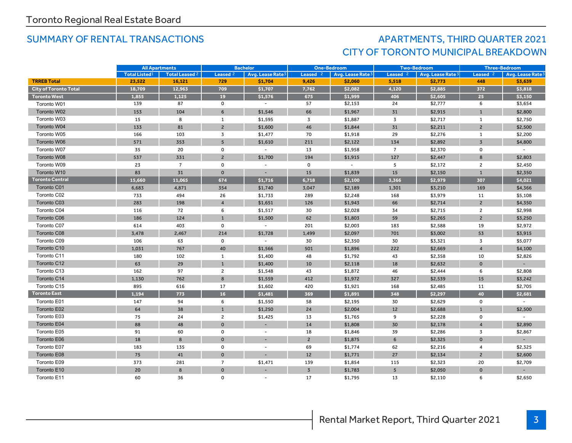## SUMMARY OF RENTAL TRANSACTIONS AND RESOLUTION APARTMENTS, THIRD QUARTER 2021 CITY OF TORONTO MUNICIPAL BREAKDOWN

|                              | <b>All Apartments</b> |                | <b>Bachelor</b>     |                              | <b>One-Bedroom</b> |                              | <b>Two-Bedroom</b>  |                   |                | <b>Three-Bedroom</b>         |
|------------------------------|-----------------------|----------------|---------------------|------------------------------|--------------------|------------------------------|---------------------|-------------------|----------------|------------------------------|
|                              | <b>Total Listed1</b>  | Total Leased 2 | Leased <sup>2</sup> | Avg. Lease Rate <sup>3</sup> | Leased $2$         | Avg. Lease Rate <sup>3</sup> | Leased <sup>2</sup> | Avg. Lease Rate 3 | Leased $2$     | Avg. Lease Rate <sup>3</sup> |
| <b>TRREB Total</b>           | 23,522                | 16,121         | 729                 | \$1,704                      | 9,426              | \$2,060                      | 5,518               | \$2,773           | 448            | \$3,639                      |
| <b>City of Toronto Total</b> | 18,709                | 12,963         | 709                 | \$1,707                      | 7,762              | \$2,082                      | 4,120               | \$2,885           | 372            | \$3,818                      |
| <b>Toronto West</b>          | 1,855                 | 1,125          | 19                  | \$1,576                      | 675                | \$1,999                      | 406                 | \$2,605           | 25             | \$3,150                      |
| Toronto W01                  | 139                   | 87             | $\mathsf{o}$        | $\sim$                       | 57                 | \$2,153                      | 24                  | \$2,777           | 6              | \$3,654                      |
| Toronto W02                  | 153                   | 104            | 6                   | \$1,546                      | 66                 | \$1,967                      | 31                  | \$2,915           | $\mathbf{1}$   | \$2,800                      |
| Toronto W03                  | 15                    | 8              | 1                   | \$1,595                      | $\overline{3}$     | \$1,887                      | 3                   | \$2,717           | 1              | \$2,750                      |
| Toronto W04                  | 133                   | 81             | $\overline{c}$      | \$1,600                      | 46                 | \$1,844                      | 31                  | \$2,211           | $\overline{2}$ | \$2,500                      |
| Toronto W05                  | 166                   | 103            | 3                   | \$1,477                      | 70                 | \$1,918                      | 29                  | \$2,276           | $\mathbf{1}$   | \$2,200                      |
| Toronto W06                  | 571                   | 353            | 5 <sup>5</sup>      | \$1,610                      | 211                | \$2,122                      | 134                 | \$2,892           | $\overline{3}$ | \$4,800                      |
| Toronto W07                  | 35                    | 20             | $\mathsf{O}\xspace$ | $\blacksquare$               | 13                 | \$1,958                      | $\overline{7}$      | \$2,370           | $\mathsf{o}$   |                              |
| Toronto W08                  | 537                   | 331            | $\overline{2}$      | \$1,700                      | 194                | \$1,915                      | 127                 | \$2,447           | 8              | \$2,803                      |
| Toronto W09                  | 23                    | $\overline{7}$ | $\mathbf 0$         |                              | $\mathbf 0$        | $\sim$                       | 5                   | \$2,172           | $\overline{2}$ | \$2,450                      |
| Toronto W10                  | 83                    | 31             | $\mathbf 0$         |                              | 15                 | \$1,839                      | 15                  | \$2,150           | $\mathbf{1}$   | \$2,350                      |
| <b>Toronto Central</b>       | 15,660                | 11,065         | 674                 | \$1,716                      | 6,718              | \$2,100                      | 3,366               | \$2,979           | 307            | \$4,021                      |
| Toronto C01                  | 6,683                 | 4,871          | 354                 | \$1,740                      | 3,047              | \$2,189                      | 1,301               | \$3,210           | 169            | \$4,366                      |
| Toronto C02                  | 733                   | 494            | 26                  | \$1,733                      | 289                | \$2,248                      | 168                 | \$3,979           | 11             | \$5,108                      |
| Toronto C03                  | 283                   | 198            | $\overline{4}$      | \$1,651                      | 126                | \$1,943                      | 66                  | \$2,714           | $\overline{2}$ | \$4,350                      |
| Toronto C04                  | 116                   | 72             | 6                   | \$1,517                      | 30                 | \$2,028                      | 34                  | \$2,715           | $\overline{2}$ | \$2,998                      |
| Toronto C06                  | 186                   | 124            | $\mathbf{1}$        | \$1,500                      | 62                 | \$1,803                      | 59                  | \$2,265           | $\overline{c}$ | \$3,250                      |
| Toronto C07                  | 614                   | 403            | $\mathsf{O}\xspace$ | $\blacksquare$               | 201                | \$2,003                      | 183                 | \$2,588           | 19             | \$2,972                      |
| Toronto C08                  | 3,478                 | 2,467          | 214                 | \$1,728                      | 1,499              | \$2,097                      | 701                 | \$3,002           | 53             | \$3,915                      |
| Toronto C09                  | 106                   | 63             | $\mathsf{O}\xspace$ |                              | 30                 | \$2,350                      | 30                  | \$3,321           | 3              | \$5,077                      |
| Toronto C10                  | 1,031                 | 767            | 40                  | \$1,566                      | 501                | \$1,896                      | 222                 | \$2,669           | $\overline{4}$ | \$4,100                      |
| Toronto C11                  | 180                   | 102            | 1                   | \$1,400                      | 48                 | \$1,792                      | 43                  | \$2,358           | 10             | \$2,826                      |
| Toronto C12                  | 63                    | 29             | $\mathbf{1}$        | \$1,400                      | 10                 | \$2,118                      | 18                  | \$2,632           | $\mathbf 0$    |                              |
| Toronto C13                  | 162                   | 97             | $\overline{2}$      | \$1,548                      | 43                 | \$1,872                      | 46                  | \$2,444           | 6              | \$2,808                      |
| Toronto C14                  | 1,130                 | 762            | 8                   | \$1,559                      | 412                | \$1,972                      | 327                 | \$2,539           | 15             | \$3,242                      |
| Toronto C15                  | 895                   | 616            | 17                  | \$1,602                      | 420                | \$1,921                      | 168                 | \$2,485           | 11             | \$2,705                      |
| <b>Toronto East</b>          | 1,194                 | 773            | 16                  | \$1,481                      | 369                | \$1,891                      | 348                 | \$2,297           | 40             | \$2,681                      |
| Toronto E01                  | 147                   | 94             | 6                   | \$1,550                      | 58                 | \$2,195                      | 30                  | \$2,629           | 0              |                              |
| Toronto E02                  | 64                    | 38             | $\mathbf{1}$        | \$1,250                      | 24                 | \$2,004                      | 12                  | \$2,688           | $\mathbf{1}$   | \$2,500                      |
| Toronto E03                  | 75                    | 24             | $\overline{c}$      | \$1,425                      | 13                 | \$1,765                      | 9                   | \$2,228           | $\mathbf 0$    |                              |
| Toronto E04                  | 88                    | 48             | $\mathbf 0$         |                              | 14                 | \$1,808                      | 30                  | \$2,178           | $\overline{A}$ | \$2,890                      |
| Toronto E05                  | 91                    | 60             | 0                   |                              | 18                 | \$1,846                      | 39                  | \$2,286           | 3              | \$2,867                      |
| Toronto E06                  | 18                    | 8              | $\mathbf 0$         |                              | $\overline{c}$     | \$1,875                      | 6                   | \$2,325           | $\mathbf 0$    |                              |
| Toronto E07                  | 183                   | 135            | $\mathbf 0$         | $\overline{a}$               | 69                 | \$1,774                      | 62                  | \$2,216           | $\overline{4}$ | \$2,325                      |
| Toronto E08                  | 75                    | 41             | $\mathbf 0$         |                              | 12                 | \$1,771                      | 27                  | \$2,134           | $\overline{2}$ | \$2,600                      |
| Toronto E09                  | 373                   | 281            | $\overline{7}$      | \$1,471                      | 139                | \$1,854                      | 115                 | \$2,323           | 20             | \$2,709                      |
| Toronto E10                  | 20                    | 8              | $\mathbf 0$         |                              | $\overline{3}$     | \$1,783                      | 5                   | \$2,050           | $\mathbf{0}$   |                              |
| Toronto E11                  | 60                    | 36             | $\mathbf 0$         |                              | 17                 | \$1,795                      | 13                  | \$2,110           | 6              | \$2,650                      |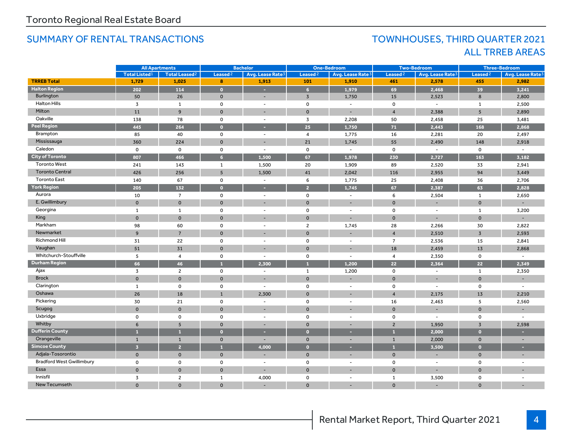### SUMMARY OF RENTAL TRANSACTIONS TOWNHOUSES, THIRD QUARTER 2021

# ALL TRREB AREAS

|                                  | <b>All Apartments</b> |                                 | <b>Bachelor</b>     |                              | <b>One-Bedroom</b>  |                              |                     | <b>Two-Bedroom</b>           | <b>Three-Bedroom</b> |                          |
|----------------------------------|-----------------------|---------------------------------|---------------------|------------------------------|---------------------|------------------------------|---------------------|------------------------------|----------------------|--------------------------|
|                                  | <b>Total Listed1</b>  | <b>Total Leased<sup>2</sup></b> | Leased <sup>2</sup> | Avg. Lease Rate <sup>3</sup> | Leased <sup>2</sup> | Avg. Lease Rate <sup>3</sup> | Leased <sup>2</sup> | Avg. Lease Rate <sup>3</sup> | Leased <sup>2</sup>  | Avg. Lease Rate          |
| <b>TRREB Total</b>               | 1,729                 | 1,025                           | 8                   | 1,913                        | 101                 | 1,910                        | 461                 | 2,578                        | 455                  | 2,982                    |
| <b>Halton Region</b>             | 202                   | 114                             | $\bullet$           | ×.                           | 6                   | 1,979                        | 69                  | 2,468                        | 39                   | 3,241                    |
| Burlington                       | 50                    | 26                              | $\mathbf{0}$        | $\overline{\phantom{a}}$     | $\overline{3}$      | 1,750                        | 15                  | 2.523                        | 8                    | 2,800                    |
| <b>Halton Hills</b>              | 3                     | $\mathbf{1}$                    | $\mathbf 0$         | $\overline{\phantom{a}}$     | $\mathsf{o}$        | $\sim$                       | $\Omega$            | $\sim$                       | $\mathbf{1}$         | 2,500                    |
| Milton                           | 11                    | $\overline{9}$                  | $\mathbf 0$         |                              | $\mathbf{0}$        |                              | $\overline{4}$      | 2,388                        | 5                    | 2,890                    |
| Oakville                         | 138                   | 78                              | $\mathbf 0$         | $\overline{\phantom{a}}$     | $\overline{3}$      | 2,208                        | 50                  | 2,458                        | 25                   | 3,481                    |
| <b>Peel Region</b>               | 445                   | 264                             | $\bullet$           |                              | 25                  | 1.750                        | 71                  | 2,443                        | 168                  | 2,868                    |
| Brampton                         | 85                    | 40                              | $\mathsf{o}$        | $\overline{\phantom{a}}$     | $\overline{4}$      | 1,775                        | 16                  | 2,281                        | 20                   | 2,497                    |
| Mississauga                      | 360                   | 224                             | $\mathbf{0}$        |                              | 21                  | 1,745                        | 55                  | 2,490                        | 148                  | 2,918                    |
| Caledon                          | $\mathbf 0$           | $\mathbf 0$                     | $\mathbf 0$         | $\overline{\phantom{a}}$     | $\mathsf 0$         | $\sim$                       | $\mathbf 0$         | $\sim$                       | $\mathsf{o}\,$       | $\overline{\phantom{a}}$ |
| <b>City of Toronto</b>           | 807                   | 466                             | 6 <sup>1</sup>      | 1.500                        | 67                  | 1.978                        | 230                 | 2,727                        | 163                  | 3.182                    |
| <b>Toronto West</b>              | 241                   | 143                             | $\mathbf{1}$        | 1,500                        | 20                  | 1,909                        | 89                  | 2,520                        | 33                   | 2,941                    |
| <b>Toronto Central</b>           | 426                   | 256                             | 5 <sup>5</sup>      | 1,500                        | 41                  | 2,042                        | 116                 | 2,955                        | 94                   | 3,449                    |
| <b>Toronto East</b>              | 140                   | 67                              | $\mathsf{o}$        | $\overline{\phantom{a}}$     | 6                   | 1,775                        | 25                  | 2,408                        | 36                   | 2,706                    |
| <b>York Region</b>               | 205                   | 132                             | $\bullet$           |                              | $\overline{2}$      | 1,745                        | 67                  | 2.387                        | 63                   | 2,828                    |
| Aurora                           | 10                    | $\overline{7}$                  | $\mathsf{o}$        | $\overline{\phantom{a}}$     | $\mathsf 0$         | $\sim$                       | 6                   | 2,504                        | $\mathbf{1}$         | 2,650                    |
| E. Gwillimbury                   | $\Omega$              | $\mathbf{0}$                    | $\mathbf{0}$        |                              | $\mathbf{0}$        |                              | $\Omega$            |                              | $\mathbf 0$          |                          |
| Georgina                         | $\mathbf{1}$          | $\mathbf{1}$                    | $\mathbf 0$         | ÷,                           | $\mathsf{o}\,$      | $\overline{\phantom{a}}$     | $\mathbf 0$         | $\sim$                       | $\mathbf{1}$         | 3,200                    |
| King                             | $\Omega$              | $\mathbf 0$                     | $\mathbf 0$         |                              | $\mathbf{0}$        |                              | $\Omega$            |                              | $\Omega$             |                          |
| Markham                          | 98                    | 60                              | $\mathbf 0$         | $\overline{\phantom{a}}$     | $\overline{2}$      | 1,745                        | 28                  | 2,266                        | 30                   | 2,822                    |
| Newmarket                        | 9                     | $\overline{7}$                  | $\mathbf 0$         |                              | $\mathbf{0}$        |                              | $\overline{4}$      | 2,510                        | $\overline{3}$       | 2,593                    |
| Richmond Hill                    | 31                    | 22                              | $\mathbf 0$         | $\overline{\phantom{a}}$     | $\mathsf 0$         | $\sim$                       | $\overline{7}$      | 2,536                        | 15                   | 2,841                    |
| Vaughan                          | 51                    | 31                              | $\mathbf 0$         |                              | $\mathbf{0}$        |                              | 18                  | 2,459                        | 13                   | 2,868                    |
| Whitchurch-Stouffville           | 5                     | 4                               | $\mathbf 0$         | $\overline{\phantom{a}}$     | $\mathsf{o}\,$      | $\overline{\phantom{a}}$     | $\overline{4}$      | 2,350                        | 0                    | $\blacksquare$           |
| <b>Durham Region</b>             | 66                    | 46                              | $\mathbf{1}$        | 2.300                        | $\mathbf{1}$        | 1.200                        | 22                  | 2,364                        | 22                   | 2,349                    |
| Ajax                             | 3                     | $\overline{\mathbf{c}}$         | 0                   | $\overline{\phantom{a}}$     | $\mathbf{1}$        | 1,200                        | $\mathbf 0$         | $\sim$                       | 1                    | 2,350                    |
| <b>Brock</b>                     | $\mathbf 0$           | $\mathbf 0$                     | $\mathbf 0$         |                              | $\mathbf{0}$        |                              | $\mathbf{0}$        |                              | $\mathbf 0$          |                          |
| Clarington                       | 1                     | 0                               | $\mathbf 0$         | $\overline{\phantom{a}}$     | $\mathsf{o}$        | $\overline{\phantom{a}}$     | $\mathbf 0$         | $\blacksquare$               | 0                    | $\overline{\phantom{a}}$ |
| Oshawa                           | 26                    | 18                              | $\mathbf{1}$        | 2,300                        | $\mathbf 0$         |                              | $\overline{4}$      | 2,175                        | 13                   | 2,210                    |
| Pickering                        | 30                    | 21                              | 0                   | $\overline{\phantom{a}}$     | $\mathbf 0$         | $\overline{\phantom{a}}$     | 16                  | 2,463                        | 5                    | 2,560                    |
| Scugog                           | $\mathbf{O}$          | $\mathbf 0$                     | $\mathbf 0$         |                              | $\mathbf{0}$        |                              | $\mathbf{0}$        |                              | $\mathbf 0$          |                          |
| Uxbridge                         | $\mathbf 0$           | 0                               | $\mathbf 0$         | $\overline{\phantom{a}}$     | $\mathsf{o}$        | $\overline{\phantom{a}}$     | $\mathbf 0$         | $\blacksquare$               | 0                    | $\overline{\phantom{a}}$ |
| Whitby                           | 6                     | 5                               | $\mathbf 0$         | ٠                            | $\mathbf 0$         | ٠                            | $\overline{2}$      | 1,950                        | $\overline{3}$       | 2,598                    |
| <b>Dufferin County</b>           | п                     | $\mathbf{1}$                    | $\bullet$           | е                            | $\bullet$           | е                            | $\mathbf{1}$        | 2,000                        | $\overline{0}$       |                          |
| Orangeville                      | $\mathbf{1}$          | $\mathbf{1}$                    | $\mathbf{0}$        |                              | $\mathbf 0$         |                              | $\mathbf{1}$        | 2,000                        | $\mathbf{0}$         |                          |
| <b>Simcoe County</b>             | $\overline{3}$        | $\overline{2}$                  | $\mathbf{1}$        | 4,000                        | $\bullet$           | н                            | $\mathbf{1}$        | 3,500                        | $\bullet$            | ×                        |
| Adjala-Tosorontio                | $\mathbf 0$           | $\mathbf 0$                     | $\mathbf 0$         |                              | $\mathbf 0$         |                              | $\mathbf 0$         |                              | $\mathbf 0$          |                          |
| <b>Bradford West Gwillimbury</b> | 0                     | 0                               | 0                   | $\overline{\phantom{a}}$     | $\mathsf{o}$        | $\overline{\phantom{a}}$     | 0                   | $\overline{\phantom{a}}$     | 0                    | $\overline{\phantom{a}}$ |
| Essa                             | $\mathbf 0$           | $\mathbf 0$                     | $\mathbf 0$         |                              | $\mathbf 0$         |                              | $\mathbf{0}$        |                              | $\Omega$             |                          |
| Innisfil                         | 3                     | $\overline{c}$                  | $\mathbf{1}$        | 4,000                        | 0                   | $\overline{\phantom{a}}$     | 1                   | 3,500                        | 0                    | $\overline{\phantom{a}}$ |
| New Tecumseth                    | $\Omega$              | $\mathbf{O}$                    | $\mathbf 0$         |                              | $\Omega$            |                              | $\mathbf{0}$        |                              | $\Omega$             |                          |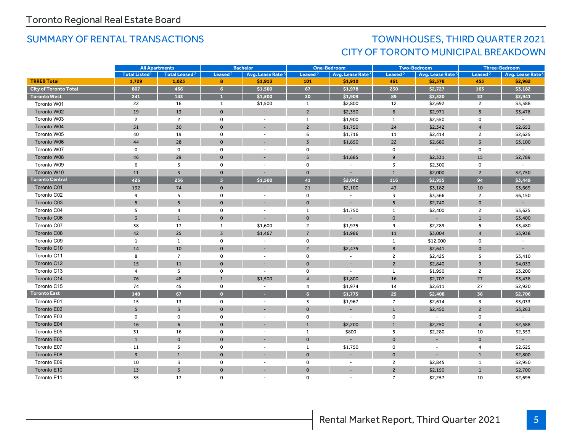## SUMMARY OF RENTAL TRANSACTIONS TOWNHOUSES, THIRD QUARTER 2021 CITY OF TORONTO MUNICIPAL BREAKDOWN

|                              |                      | <b>Bachelor</b><br><b>All Apartments</b><br><b>One-Bedroom</b> |                |                          | <b>Two-Bedroom</b>  |                              |                     | <b>Three-Bedroom</b> |                     |                              |
|------------------------------|----------------------|----------------------------------------------------------------|----------------|--------------------------|---------------------|------------------------------|---------------------|----------------------|---------------------|------------------------------|
|                              | <b>Total Listed1</b> | Total Leased <sup>2</sup>                                      | Leased $2$     | Avg. Lease Rate 3        | Leased <sup>2</sup> | Avg. Lease Rate <sup>3</sup> | Leased <sup>2</sup> | Avg. Lease Rate 3    | Leased <sup>2</sup> | Avg. Lease Rate <sup>3</sup> |
| <b>TRREB Total</b>           | 1,729                | 1,025                                                          | 8              | \$1,913                  | 101                 | \$1,910                      | 461                 | \$2,578              | 455                 | \$2,982                      |
| <b>City of Toronto Total</b> | 807                  | 466                                                            | $6\phantom{a}$ | \$1,500                  | 67                  | \$1,978                      | 230                 | \$2,727              | 163                 | \$3,182                      |
| <b>Toronto West</b>          | 241                  | 143                                                            | $\mathbf{1}$   | \$1,500                  | 20                  | \$1,909                      | 89                  | \$2,520              | 33                  | \$2,941                      |
| Toronto W01                  | 22                   | 16                                                             | $\mathbf{1}$   | \$1,500                  | 1                   | \$2,800                      | 12                  | \$2,692              | $\overline{2}$      | \$3,588                      |
| Toronto W02                  | 19                   | 13                                                             | $\mathbf 0$    | $\overline{\phantom{a}}$ | $\overline{2}$      | \$2,350                      | 6                   | \$2,971              | 5                   | \$3,478                      |
| Toronto W03                  | $\overline{2}$       | $\overline{2}$                                                 | 0              | ÷,                       | 1                   | \$1,900                      | 1                   | \$2,550              | 0                   | $\sim$                       |
| Toronto W04                  | 51                   | 30                                                             | $\mathbf{0}$   | $\overline{\phantom{a}}$ | $\overline{2}$      | \$1,750                      | 24                  | \$2,342              | $\overline{4}$      | \$2,653                      |
| Toronto W05                  | 40                   | 19                                                             | $\mathbf 0$    | $\overline{\phantom{a}}$ | 6                   | \$1,716                      | 11                  | \$2,414              | $\overline{c}$      | \$2,625                      |
| Toronto W06                  | 44                   | 28                                                             | $\mathbf{O}$   | ٠                        | $\overline{3}$      | \$1,850                      | 22                  | \$2,680              | $\overline{3}$      | \$3,100                      |
| Toronto W07                  | $\mathbf 0$          | $\Omega$                                                       | $\mathsf{o}$   | $\overline{\phantom{a}}$ | $\mathsf{o}$        | $\sim$                       | $\Omega$            | $\sim$               | $\mathsf{o}$        | $\blacksquare$               |
| Toronto W08                  | 46                   | 29                                                             | $\mathbf{0}$   |                          | 5                   | \$1,885                      | 9                   | \$2,331              | 15                  | \$2,789                      |
| Toronto W09                  | 6                    | 3                                                              | $\mathbf 0$    | ÷,                       | $\mathsf{o}\,$      | $\overline{\phantom{a}}$     | 3                   | \$2,300              | $\mathsf{o}$        | $\overline{\phantom{a}}$     |
| Toronto W10                  | 11                   | $\overline{3}$                                                 | $\mathbf{0}$   |                          | $\mathbf 0$         | $\overline{\phantom{a}}$     | $\mathbf{1}$        | \$2,000              | $\overline{2}$      | \$2,750                      |
| <b>Toronto Central</b>       | 426                  | 256                                                            | 5 <sup>1</sup> | \$1,500                  | 41                  | \$2,042                      | 116                 | \$2,955              | 94                  | \$3,449                      |
| Toronto C01                  | 132                  | 74                                                             | $\mathbf 0$    |                          | 21                  | \$2,100                      | 43                  | \$3,182              | 10                  | \$3,669                      |
| Toronto C02                  | 9                    | 5                                                              | $\mathsf{o}$   | ٠                        | $\mathsf 0$         | $\overline{\phantom{a}}$     | 3                   | \$3,566              | $\overline{2}$      | \$6,150                      |
| Toronto C03                  | $\overline{5}$       | 5 <sup>5</sup>                                                 | $\mathbf{0}$   | ۰                        | $\mathbf 0$         |                              | 5 <sup>5</sup>      | \$2,740              | $\mathbf 0$         |                              |
| Toronto C04                  | 5                    | $\overline{4}$                                                 | $\mathbf 0$    |                          | $\mathbf{1}$        | \$1,750                      | 1                   | \$2,400              | $\overline{2}$      | \$3,625                      |
| Toronto C06                  | $\overline{3}$       | $\mathbf{1}$                                                   | $\mathbf{0}$   | ٠                        | $\mathbf{0}$        | ٠                            | $\mathbf{0}$        |                      | $\mathbf{1}$        | \$3,400                      |
| Toronto C07                  | 38                   | 17                                                             | $\mathbf{1}$   | \$1,600                  | $\overline{2}$      | \$1,975                      | 9                   | \$2,289              | 5                   | \$3,480                      |
| Toronto C08                  | 42                   | 25                                                             | $\overline{3}$ | \$1,467                  | $\overline{7}$      | \$1,986                      | 11                  | \$3,004              | $\overline{4}$      | \$3,938                      |
| Toronto C09                  | $\mathbf{1}$         | $\mathbf{1}$                                                   | $\mathbf 0$    | $\overline{\phantom{a}}$ | $\mathsf{o}\,$      | $\sim$                       | $\mathbf{1}$        | \$12,000             | $\mathsf{o}$        |                              |
| Toronto C10                  | 14                   | 10                                                             | $\Omega$       | ٠                        | $\overline{2}$      | \$2,475                      | 8                   | \$2,641              | $\mathbf{0}$        |                              |
| Toronto C11                  | 8                    | $\overline{7}$                                                 | 0              | $\sim$                   | $\mathsf 0$         | $\overline{\phantom{a}}$     | $\overline{2}$      | \$2,425              | 5                   | \$3,410                      |
| Toronto C12                  | 15                   | 11                                                             | $\mathbf 0$    |                          | $\mathbf{O}$        |                              | $\overline{2}$      | \$2,840              | 9                   | \$4,033                      |
| Toronto C13                  | $\overline{4}$       | 3                                                              | 0              | ÷                        | $\mathbf{o}$        | $\overline{\phantom{a}}$     | 1                   | \$1,950              | $\overline{2}$      | \$3,200                      |
| Toronto C14                  | 76                   | 48                                                             | $\mathbf{1}$   | \$1,500                  | $\overline{4}$      | \$1,800                      | 16                  | \$2,707              | 27                  | \$3,438                      |
| Toronto C15                  | 74                   | 45                                                             | $\mathbf 0$    | $\overline{\phantom{a}}$ | $\overline{4}$      | \$1,974                      | 14                  | \$2,611              | 27                  | \$2,920                      |
| <b>Toronto East</b>          | 140                  | 67                                                             | $\bullet$      | ×.                       | 6 <sup>1</sup>      | \$1,775                      | 25                  | \$2,408              | 36                  | \$2,706                      |
| Toronto E01                  | 15                   | 13                                                             | 0              | $\overline{\phantom{a}}$ | $\overline{3}$      | \$1,967                      | $\overline{7}$      | \$2,614              | 3                   | \$3,033                      |
| Toronto E02                  | 5                    | $\overline{3}$                                                 | $\mathbf{0}$   | $\sim$                   | $\mathbf{0}$        | $\overline{\phantom{a}}$     | $\mathbf{1}$        | \$2,450              | $\overline{2}$      | \$3,263                      |
| Toronto E03                  | $\mathbf 0$          | $\mathbf 0$                                                    | $\mathbf 0$    | $\overline{a}$           | $\mathbf 0$         | $\overline{\phantom{a}}$     | $\mathbf 0$         | $\sim$               | 0                   |                              |
| Toronto E04                  | 16                   | 6                                                              | $\Omega$       |                          | $\overline{1}$      | \$2.200                      | $\mathbf{1}$        | \$2.250              | $\overline{4}$      | \$2,588                      |
| Toronto E05                  | 31                   | 16                                                             | $\mathbf 0$    | $\blacksquare$           | $\mathbf{1}$        | \$800                        | 5                   | \$2,280              | 10                  | \$2,553                      |
| Toronto E06                  | $\mathbf{1}$         | $\mathbf 0$                                                    | $\mathbf{0}$   |                          | $\mathbf{0}$        |                              | $\Omega$            |                      | $\mathbf 0$         |                              |
| Toronto E07                  | 11                   | 5                                                              | 0              | $\overline{a}$           | 1                   | \$1,750                      | $\mathbf 0$         | $\sim$               | $\overline{4}$      | \$2,625                      |
| Toronto E08                  | $\overline{3}$       | $\mathbf{1}$                                                   | $\mathbf 0$    |                          | $\mathbf 0$         |                              | $\mathbf 0$         |                      | $\mathbf{1}$        | \$2,800                      |
| Toronto E09                  | 10                   | 3                                                              | $\mathsf{o}$   | $\blacksquare$           | $\mathbf 0$         | $\sim$                       | $\overline{2}$      | \$2,845              | $\mathbf{1}$        | \$2,950                      |
| Toronto E10                  | 13                   | $\overline{3}$                                                 | $\mathbf{0}$   |                          | $\mathbf 0$         |                              | $\overline{2}$      | \$2,150              | $\mathbf{1}$        | \$2,700                      |
| Toronto E11                  | 35                   | 17                                                             | $\Omega$       |                          | 0                   |                              | $\overline{7}$      | \$2,257              | 10                  | \$2,695                      |